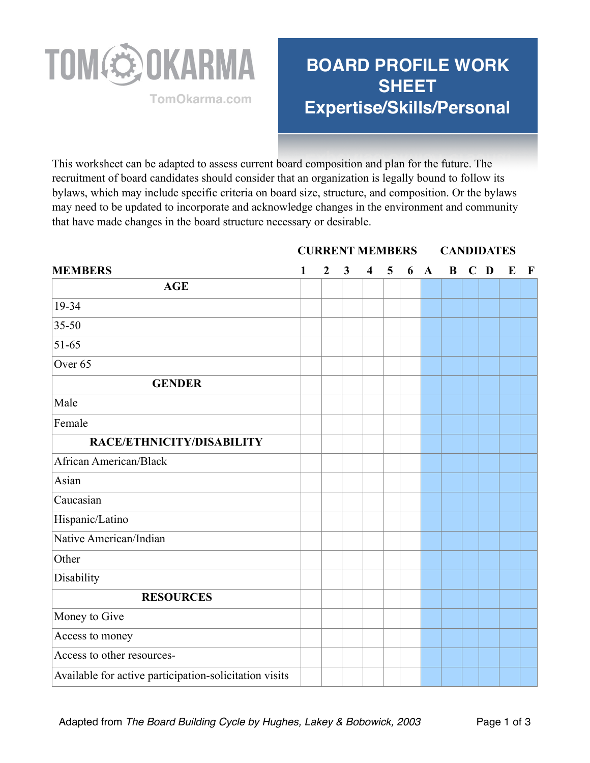

## **BOARD PROFILE WORK SHEET Expertise/Skills/Personal TomOkarma.com**

**CURRENT MEMBERS CANDIDATES** 

This worksheet can be adapted to assess current board composition and plan for the future. The recruitment of board candidates should consider that an organization is legally bound to follow its bylaws, which may include specific criteria on board size, structure, and composition. Or the bylaws may need to be updated to incorporate and acknowledge changes in the environment and community that have made changes in the board structure necessary or desirable.

| <b>MEMBERS</b>                                         | 1 | $\overline{2}$ | $\overline{\mathbf{3}}$ | $\overline{\mathbf{4}}$ | $\overline{5}$ | 6 | $\mathbf{A}$ | B C D | $\bf{E}$ | $\mathbf{F}$ |
|--------------------------------------------------------|---|----------------|-------------------------|-------------------------|----------------|---|--------------|-------|----------|--------------|
| <b>AGE</b>                                             |   |                |                         |                         |                |   |              |       |          |              |
| 19-34                                                  |   |                |                         |                         |                |   |              |       |          |              |
| $35 - 50$                                              |   |                |                         |                         |                |   |              |       |          |              |
| $51 - 65$                                              |   |                |                         |                         |                |   |              |       |          |              |
| Over $65$                                              |   |                |                         |                         |                |   |              |       |          |              |
| <b>GENDER</b>                                          |   |                |                         |                         |                |   |              |       |          |              |
| Male                                                   |   |                |                         |                         |                |   |              |       |          |              |
| Female                                                 |   |                |                         |                         |                |   |              |       |          |              |
| RACE/ETHNICITY/DISABILITY                              |   |                |                         |                         |                |   |              |       |          |              |
| African American/Black                                 |   |                |                         |                         |                |   |              |       |          |              |
| Asian                                                  |   |                |                         |                         |                |   |              |       |          |              |
| Caucasian                                              |   |                |                         |                         |                |   |              |       |          |              |
| Hispanic/Latino                                        |   |                |                         |                         |                |   |              |       |          |              |
| Native American/Indian                                 |   |                |                         |                         |                |   |              |       |          |              |
| Other                                                  |   |                |                         |                         |                |   |              |       |          |              |
| Disability                                             |   |                |                         |                         |                |   |              |       |          |              |
| <b>RESOURCES</b>                                       |   |                |                         |                         |                |   |              |       |          |              |
| Money to Give                                          |   |                |                         |                         |                |   |              |       |          |              |
| Access to money                                        |   |                |                         |                         |                |   |              |       |          |              |
| Access to other resources-                             |   |                |                         |                         |                |   |              |       |          |              |
| Available for active participation-solicitation visits |   |                |                         |                         |                |   |              |       |          |              |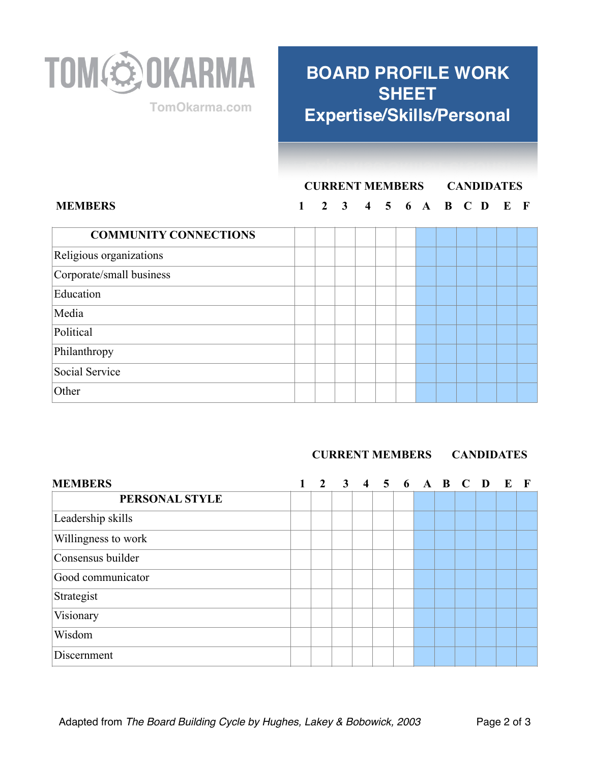

## **BOARD PROFILE WORK SHEET Expertise/Skills/Personal TomOkarma.com**

## **CURRENT MEMBERS CANDIDATES**

#### **MEMBERS 1 2 3 4 5 6 A B C D E F**

| <b>COMMUNITY CONNECTIONS</b> |  |  |  |  |  |
|------------------------------|--|--|--|--|--|
| Religious organizations      |  |  |  |  |  |
| Corporate/small business     |  |  |  |  |  |
| Education                    |  |  |  |  |  |
| Media                        |  |  |  |  |  |
| Political                    |  |  |  |  |  |
| Philanthropy                 |  |  |  |  |  |
| Social Service               |  |  |  |  |  |
| Other                        |  |  |  |  |  |

#### **CURRENT MEMBERS CANDIDATES**

| <b>MEMBERS</b>      | $\mathfrak{D}$ | $\overline{3}$ |  | 4 5 6 A B C |  | D | E |  |
|---------------------|----------------|----------------|--|-------------|--|---|---|--|
| PERSONAL STYLE      |                |                |  |             |  |   |   |  |
| Leadership skills   |                |                |  |             |  |   |   |  |
| Willingness to work |                |                |  |             |  |   |   |  |
| Consensus builder   |                |                |  |             |  |   |   |  |
| Good communicator   |                |                |  |             |  |   |   |  |
| Strategist          |                |                |  |             |  |   |   |  |
| Visionary           |                |                |  |             |  |   |   |  |
| Wisdom              |                |                |  |             |  |   |   |  |
| Discernment         |                |                |  |             |  |   |   |  |